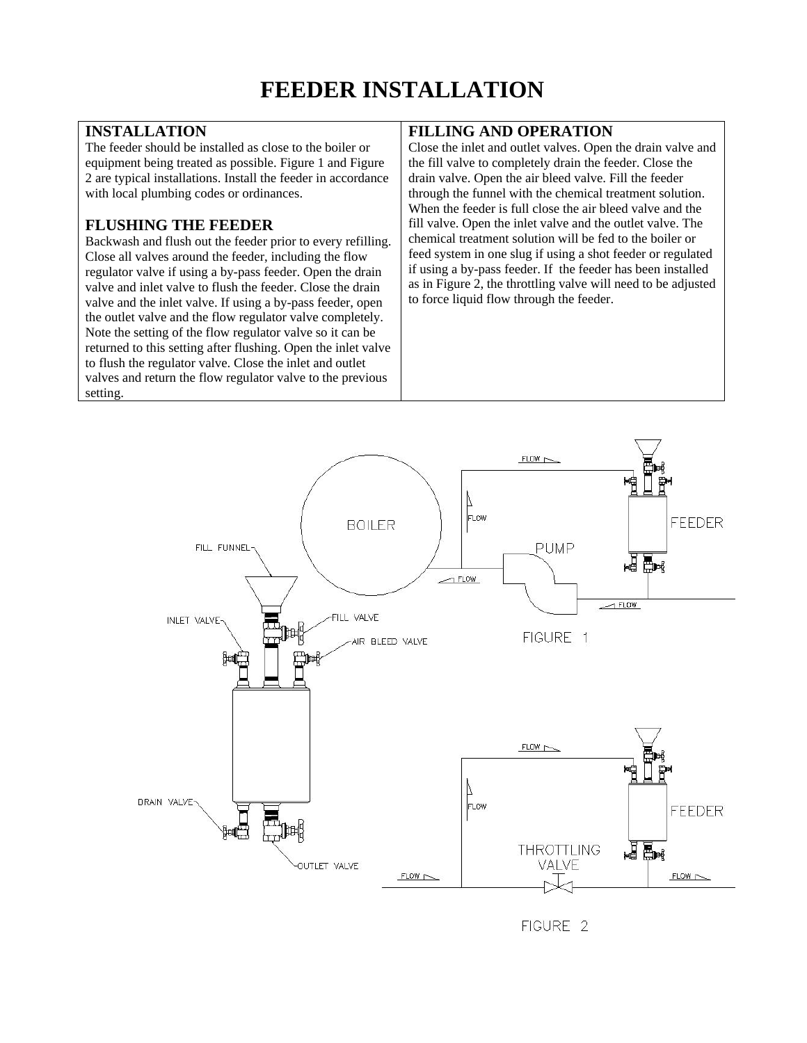## **INSTALLATION**

The feeder should be installed as close to the boiler or equipment being treated as possible. Figure 1 and Figure 2 are typical installations. Install the feeder in accordance with local plumbing codes or ordinances.

## **FLUSHING THE FEEDER**

Backwash and flush out the feeder prior to every refilling. Close all valves around the feeder, including the flow regulator valve if using a by-pass feeder. Open the drain valve and inlet valve to flush the feeder. Close the drain valve and the inlet valve. If using a by-pass feeder, open the outlet valve and the flow regulator valve completely. Note the setting of the flow regulator valve so it can be returned to this setting after flushing. Open the inlet valve to flush the regulator valve. Close the inlet and outlet valves and return the flow regulator valve to the previous setting.

## **FILLING AND OPERATION**

Close the inlet and outlet valves. Open the drain valve and the fill valve to completely drain the feeder. Close the drain valve. Open the air bleed valve. Fill the feeder through the funnel with the chemical treatment solution. When the feeder is full close the air bleed valve and the fill valve. Open the inlet valve and the outlet valve. The chemical treatment solution will be fed to the boiler or feed system in one slug if using a shot feeder or regulated if using a by-pass feeder. If the feeder has been installed as in Figure 2, the throttling valve will need to be adjusted to force liquid flow through the feeder.



FIGURE 2